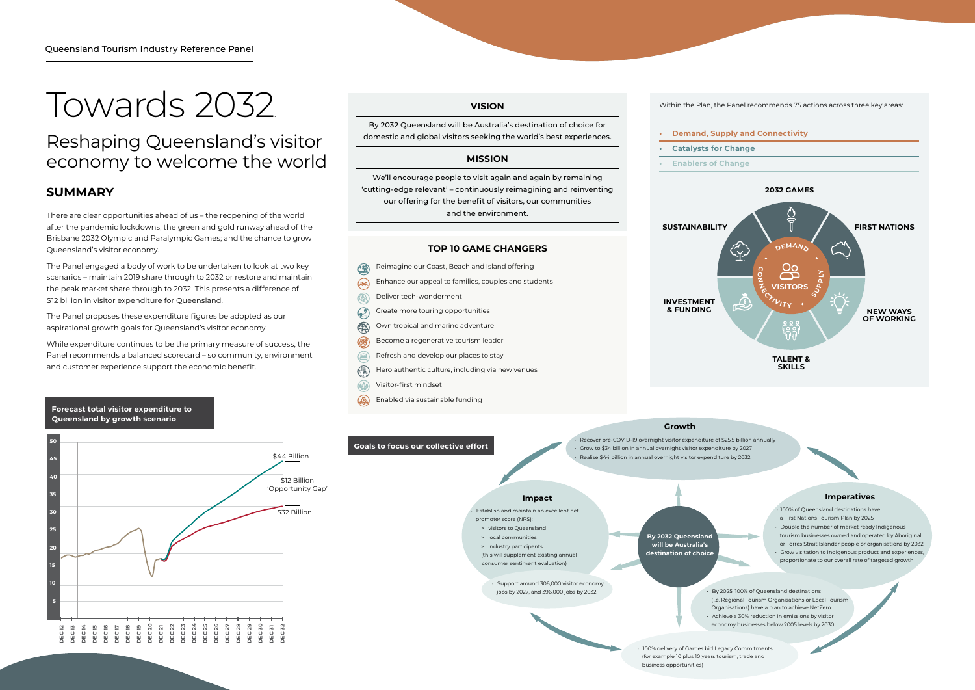There are clear opportunities ahead of us – the reopening of the world after the pandemic lockdowns; the green and gold runway ahead of the Brisbane 2032 Olympic and Paralympic Games; and the chance to grow Queensland's visitor economy.

The Panel engaged a body of work to be undertaken to look at two key scenarios – maintain 2019 share through to 2032 or restore and maintain the peak market share through to 2032. This presents a difference of \$12 billion in visitor expenditure for Queensland.

The Panel proposes these expenditure figures be adopted as our aspirational growth goals for Queensland's visitor economy.



While expenditure continues to be the primary measure of success, the Panel recommends a balanced scorecard – so community, environment and customer experience support the economic benefit.

### **SUMMARY**

# Towards 2032:

# Reshaping Queensland's visitor economy to welcome the world

# **VISION**

By 2032 Queensland will be Australia's destination of choice for domestic and global visitors seeking the world's best experiences.

#### **MISSION**

We'll encourage people to visit again and again by remaining 'cutting-edge relevant' – continuously reimagining and reinventing our offering for the benefit of visitors, our communities and the environment.

#### **Forecast total visitor expenditure to Queensland by growth scenario**

**SUSTAINABILITY**

**INVESTMENT & FUNDING**

**By 2032 Queensland will be Australia's destination of choice**

# **Growth**

• Recover pre-COVID-19 overnight visitor expenditure of \$25.5 billion annually • Grow to \$34 billion in annual overnight visitor expenditure by 2027 • Realise \$44 billion in annual overnight visitor expenditure by 2032

#### **Impact**

• Establish and maintain an excellent net promoter score (NPS): > visitors to Queensland



- > local communities
- > industry participants (this will supplement existing annual
- consumer sentiment evaluation)
	- Support around 306,000 visitor economy jobs by 2027, and 396,000 jobs by 2032

• 100% delivery of Games bid Legacy Commitments (for example 10 plus 10 years tourism, trade and business opportunities)

**Goals to focus our collective effort**

- Reimagine our Coast, Beach and Island offering  $\circledR$  $(998)$ Enhance our appeal to families, couples and students  $\circledR$ Deliver tech-wonderment  $\odot$ Create more touring opportunities (1) Own tropical and marine adventure **RAP** Become a regenerative tourism leader  $\circledR$ Refresh and develop our places to stay
- (M. Hero authentic culture, including via new venues
- $\bigcirc$ Visitor-first mindset
- $\circled{a}$ Enabled via sustainable funding

#### **TOP 10 GAME CHANGERS**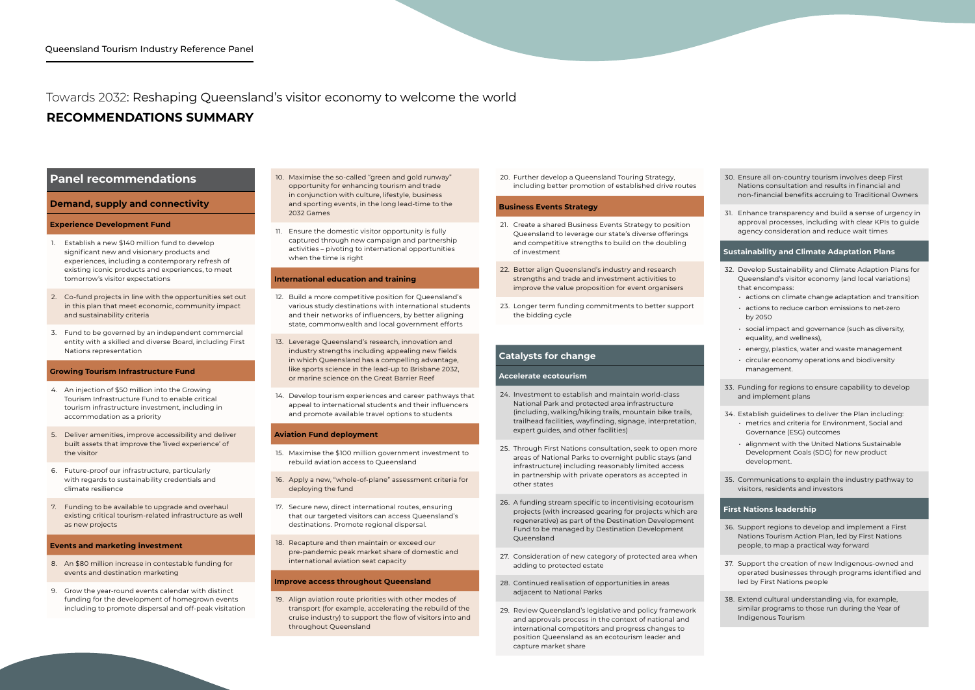## **RECOMMENDATIONS SUMMARY**

# Towards 2032: Reshaping Queensland's visitor economy to welcome the world

### **Panel recommendations**

#### **Demand, supply and connectivity**

#### **Experience Development Fund**

- 1. Establish a new \$140 million fund to develop significant new and visionary products and experiences, including a contemporary refresh of existing iconic products and experiences, to meet tomorrow's visitor expectations
- 2. Co-fund projects in line with the opportunities set out in this plan that meet economic, community impact and sustainability criteria
- 3. Fund to be governed by an independent commercial entity with a skilled and diverse Board, including First Nations representation

#### **Growing Tourism Infrastructure Fund**

- 4. An injection of \$50 million into the Growing Tourism Infrastructure Fund to enable critical tourism infrastructure investment, including in accommodation as a priority
- 5. Deliver amenities, improve accessibility and deliver built assets that improve the 'lived experience' of the visitor
- 6. Future-proof our infrastructure, particularly with regards to sustainability credentials and climate resilience
- 7. Funding to be available to upgrade and overhaul existing critical tourism-related infrastructure as well as new projects

#### **Events and marketing investment**

- 8. An \$80 million increase in contestable funding for events and destination marketing
- 9. Grow the year-round events calendar with distinct funding for the development of homegrown events including to promote dispersal and off-peak visitation

19. Align aviation route priorities with other modes of transport (for example, accelerating the rebuild of the cruise industry) to support the flow of visitors into and throughout Queensland

- 10. Maximise the so-called "green and gold runway" opportunity for enhancing tourism and trade in conjunction with culture, lifestyle, business and sporting events, in the long lead-time to the 2032 Games
- 11. Ensure the domestic visitor opportunity is fully captured through new campaign and partnership activities – pivoting to international opportunities when the time is right

#### **International education and training**

- 12. Build a more competitive position for Queensland's various study destinations with international students and their networks of influencers, by better aligning state, commonwealth and local government efforts
- 13. Leverage Queensland's research, innovation and industry strengths including appealing new fields in which Queensland has a compelling advantage, like sports science in the lead-up to Brisbane 2032, or marine science on the Great Barrier Reef
- 14. Develop tourism experiences and career pathways that appeal to international students and their influencers and promote available travel options to students

#### **Aviation Fund deployment**

- 15. Maximise the \$100 million government investment to rebuild aviation access to Queensland
- 16. Apply a new, "whole-of-plane" assessment criteria for deploying the fund
- 17. Secure new, direct international routes, ensuring that our targeted visitors can access Queensland's destinations. Promote regional dispersal.
- 18. Recapture and then maintain or exceed our pre-pandemic peak market share of domestic and international aviation seat capacity

#### **Improve access throughout Queensland**

20. Further develop a Queensland Touring Strategy, including better promotion of established drive routes

#### **Business Events Strategy**

- 21. Create a shared Business Events Strategy to position Queensland to leverage our state's diverse offerings and competitive strengths to build on the doubling of investment
- 22. Better align Queensland's industry and research strengths and trade and investment activities to improve the value proposition for event organisers
- 23. Longer term funding commitments to better support the bidding cycle

#### **Catalysts for change**

#### **Accelerate ecotourism**

- 24. Investment to establish and maintain world-class National Park and protected area infrastructure (including, walking/hiking trails, mountain bike trails, trailhead facilities, wayfinding, signage, interpretation, expert guides, and other facilities)
- 25. Through First Nations consultation, seek to open more areas of National Parks to overnight public stays (and infrastructure) including reasonably limited access in partnership with private operators as accepted in other states
- 26. A funding stream specific to incentivising ecotourism projects (with increased gearing for projects which are regenerative) as part of the Destination Development Fund to be managed by Destination Development Queensland
- 27. Consideration of new category of protected area when adding to protected estate
- 28. Continued realisation of opportunities in areas adjacent to National Parks
- 29. Review Queensland's legislative and policy framework and approvals process in the context of national and international competitors and progress changes to position Queensland as an ecotourism leader and capture market share

- 
- 
- 
- 
- 
- 

30. Ensure all on-country tourism involves deep First Nations consultation and results in financial and non-financial benefits accruing to Traditional Owners

31. Enhance transparency and build a sense of urgency in approval processes, including with clear KPIs to guide agency consideration and reduce wait times

#### **Sustainability and Climate Adaptation Plans**

32. Develop Sustainability and Climate Adaption Plans for Queensland's visitor economy (and local variations) that encompass:

- actions on climate change adaptation and transition
- actions to reduce carbon emissions to net-zero by 2050
- social impact and governance (such as diversity, equality, and wellness),
- energy, plastics, water and waste management
- circular economy operations and biodiversity management.

33. Funding for regions to ensure capability to develop and implement plans

34. Establish guidelines to deliver the Plan including:

- metrics and criteria for Environment, Social and Governance (ESG) outcomes
- alignment with the United Nations Sustainable Development Goals (SDG) for new product development.

35. Communications to explain the industry pathway to visitors, residents and investors

#### **First Nations leadership**

36. Support regions to develop and implement a First Nations Tourism Action Plan, led by First Nations people, to map a practical way forward

37. Support the creation of new Indigenous-owned and operated businesses through programs identified and led by First Nations people

38. Extend cultural understanding via, for example, similar programs to those run during the Year of Indigenous Tourism